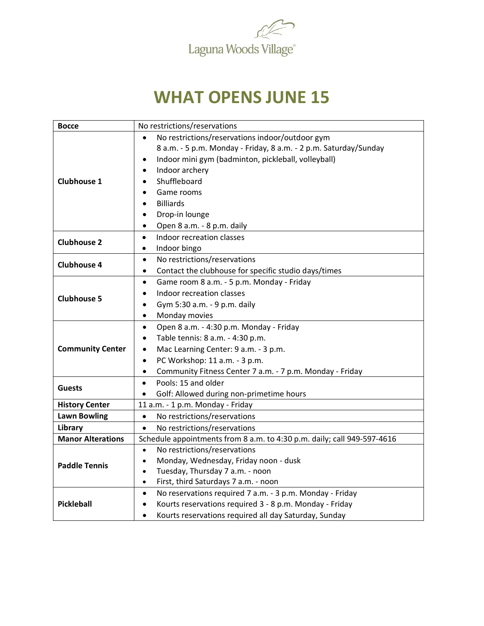

## **WHAT OPENS JUNE 15**

| <b>Bocce</b>             | No restrictions/reservations                                            |
|--------------------------|-------------------------------------------------------------------------|
| <b>Clubhouse 1</b>       | No restrictions/reservations indoor/outdoor gym                         |
|                          | 8 a.m. - 5 p.m. Monday - Friday, 8 a.m. - 2 p.m. Saturday/Sunday        |
|                          | Indoor mini gym (badminton, pickleball, volleyball)<br>$\bullet$        |
|                          | Indoor archery<br>$\bullet$                                             |
|                          | Shuffleboard                                                            |
|                          | Game rooms                                                              |
|                          | <b>Billiards</b>                                                        |
|                          | Drop-in lounge                                                          |
|                          | Open 8 a.m. - 8 p.m. daily<br>$\bullet$                                 |
| <b>Clubhouse 2</b>       | Indoor recreation classes<br>$\bullet$                                  |
|                          | Indoor bingo<br>$\bullet$                                               |
| Clubhouse 4              | No restrictions/reservations<br>$\bullet$                               |
|                          | Contact the clubhouse for specific studio days/times<br>$\bullet$       |
| <b>Clubhouse 5</b>       | Game room 8 a.m. - 5 p.m. Monday - Friday<br>$\bullet$                  |
|                          | Indoor recreation classes                                               |
|                          | Gym 5:30 a.m. - 9 p.m. daily<br>$\bullet$                               |
|                          | Monday movies<br>$\bullet$                                              |
|                          | Open 8 a.m. - 4:30 p.m. Monday - Friday<br>$\bullet$                    |
| <b>Community Center</b>  | Table tennis: 8 a.m. - 4:30 p.m.<br>$\bullet$                           |
|                          | Mac Learning Center: 9 a.m. - 3 p.m.<br>$\bullet$                       |
|                          | PC Workshop: 11 a.m. - 3 p.m.<br>$\bullet$                              |
|                          | Community Fitness Center 7 a.m. - 7 p.m. Monday - Friday<br>٠           |
| <b>Guests</b>            | Pools: 15 and older                                                     |
|                          | Golf: Allowed during non-primetime hours                                |
| <b>History Center</b>    | 11 a.m. - 1 p.m. Monday - Friday                                        |
| <b>Lawn Bowling</b>      | No restrictions/reservations<br>$\bullet$                               |
| Library                  | No restrictions/reservations<br>$\bullet$                               |
| <b>Manor Alterations</b> | Schedule appointments from 8 a.m. to 4:30 p.m. daily; call 949-597-4616 |
|                          | No restrictions/reservations<br>$\bullet$                               |
| <b>Paddle Tennis</b>     | Monday, Wednesday, Friday noon - dusk<br>$\bullet$                      |
|                          | Tuesday, Thursday 7 a.m. - noon<br>$\bullet$                            |
|                          | First, third Saturdays 7 a.m. - noon<br>$\bullet$                       |
| <b>Pickleball</b>        | No reservations required 7 a.m. - 3 p.m. Monday - Friday<br>$\bullet$   |
|                          | Kourts reservations required 3 - 8 p.m. Monday - Friday                 |
|                          | Kourts reservations required all day Saturday, Sunday<br>$\bullet$      |